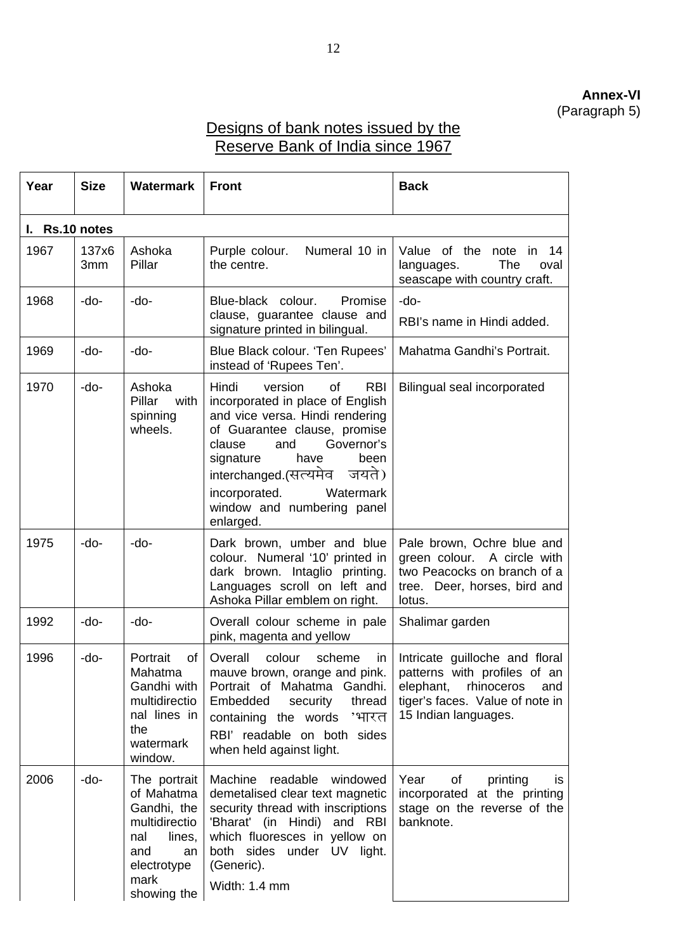## **Annex-VI**  (Paragraph 5)

## Designs of bank notes issued by the Reserve Bank of India since 1967

| Year           | <b>Size</b>  | <b>Watermark</b>                                                                                                               | <b>Front</b>                                                                                                                                                                                                                                                         | <b>Back</b>                                                                                                                                                 |
|----------------|--------------|--------------------------------------------------------------------------------------------------------------------------------|----------------------------------------------------------------------------------------------------------------------------------------------------------------------------------------------------------------------------------------------------------------------|-------------------------------------------------------------------------------------------------------------------------------------------------------------|
| I. Rs.10 notes |              |                                                                                                                                |                                                                                                                                                                                                                                                                      |                                                                                                                                                             |
| 1967           | 137x6<br>3mm | Ashoka<br>Pillar                                                                                                               | Numeral 10 in<br>Purple colour.<br>the centre.                                                                                                                                                                                                                       | Value of the note in 14<br>The<br>languages.<br>oval<br>seascape with country craft.                                                                        |
| 1968           | -do-         | -do-                                                                                                                           | Blue-black colour.<br>Promise<br>clause, guarantee clause and<br>signature printed in bilingual.                                                                                                                                                                     | -do-<br>RBI's name in Hindi added.                                                                                                                          |
| 1969           | -do-         | -do-                                                                                                                           | Blue Black colour. 'Ten Rupees'<br>instead of 'Rupees Ten'.                                                                                                                                                                                                          | Mahatma Gandhi's Portrait.                                                                                                                                  |
| 1970           | -do-         | Ashoka<br>Pillar<br>with<br>spinning<br>wheels.                                                                                | Hindi<br>version<br><b>RBI</b><br>of<br>incorporated in place of English<br>and vice versa. Hindi rendering<br>of Guarantee clause, promise<br>Governor's<br>clause<br>and<br>signature<br>have<br>been<br>interchanged.(सत्यमेव जयते)<br>incorporated.<br>Watermark | Bilingual seal incorporated                                                                                                                                 |
|                |              |                                                                                                                                | window and numbering panel<br>enlarged.                                                                                                                                                                                                                              |                                                                                                                                                             |
| 1975           | -do-         | $-do-$                                                                                                                         | Dark brown, umber and blue<br>colour. Numeral '10' printed in<br>dark brown. Intaglio printing.<br>Languages scroll on left and<br>Ashoka Pillar emblem on right.                                                                                                    | Pale brown, Ochre blue and<br>green colour. A circle with<br>two Peacocks on branch of a<br>tree. Deer, horses, bird and<br>lotus.                          |
| 1992           | -do-         | -do-                                                                                                                           | Overall colour scheme in pale<br>pink, magenta and yellow                                                                                                                                                                                                            | Shalimar garden                                                                                                                                             |
| 1996           | -do-         | Portrait<br>of<br>Mahatma<br>Gandhi with<br>multidirectio<br>nal lines in<br>the<br>watermark<br>window.                       | colour<br>Overall<br>scheme<br>in.<br>mauve brown, orange and pink.<br>Portrait of Mahatma Gandhi.<br>Embedded<br>thread<br>security<br>containing the words 'भारत<br>RBI' readable on both sides<br>when held against light.                                        | Intricate guilloche and floral<br>patterns with profiles of an<br>elephant,<br>rhinoceros<br>and<br>tiger's faces. Value of note in<br>15 Indian languages. |
| 2006           | -do-         | The portrait<br>of Mahatma<br>Gandhi, the<br>multidirectio<br>nal<br>lines,<br>and<br>an<br>electrotype<br>mark<br>showing the | Machine readable<br>windowed<br>demetalised clear text magnetic<br>security thread with inscriptions<br>'Bharat' (in Hindi) and RBI<br>which fluoresces in yellow on<br>both sides under UV light.<br>(Generic).<br>Width: 1.4 mm                                    | Year<br>of<br>printing<br>is<br>incorporated at the printing<br>stage on the reverse of the<br>banknote.                                                    |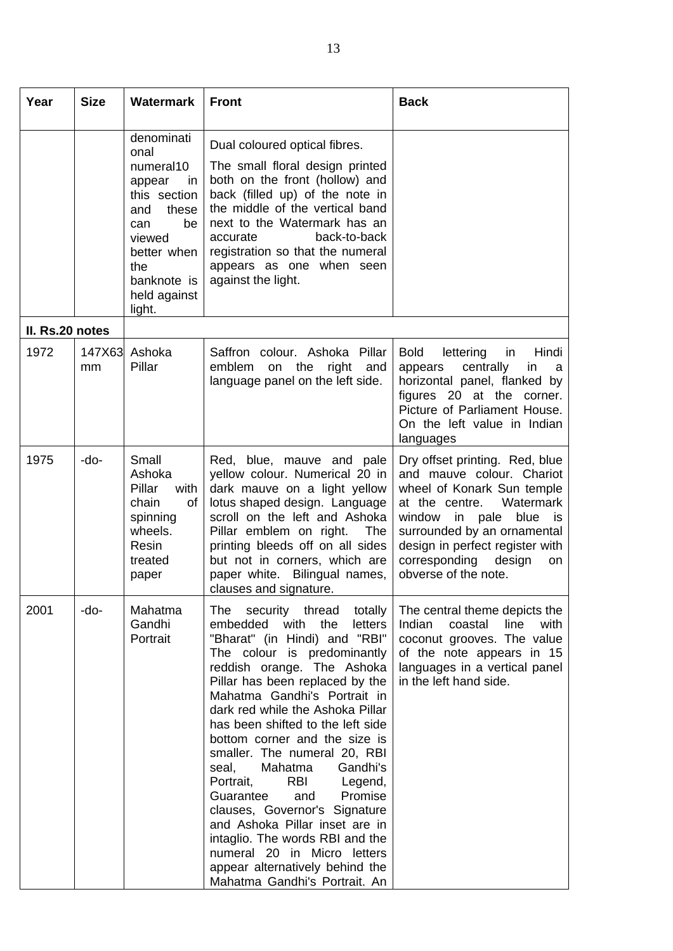| Year            | <b>Size</b>  | <b>Watermark</b>                                                                                                                                                      | <b>Front</b>                                                                                                                                                                                                                                                                                                                                                                                                                                                                                                                                                                                                                                                                        | <b>Back</b>                                                                                                                                                                                                                                                                               |
|-----------------|--------------|-----------------------------------------------------------------------------------------------------------------------------------------------------------------------|-------------------------------------------------------------------------------------------------------------------------------------------------------------------------------------------------------------------------------------------------------------------------------------------------------------------------------------------------------------------------------------------------------------------------------------------------------------------------------------------------------------------------------------------------------------------------------------------------------------------------------------------------------------------------------------|-------------------------------------------------------------------------------------------------------------------------------------------------------------------------------------------------------------------------------------------------------------------------------------------|
|                 |              | denominati<br>onal<br>numeral10<br>appear<br>in<br>this section<br>these<br>and<br>be<br>can<br>viewed<br>better when<br>the<br>banknote is<br>held against<br>light. | Dual coloured optical fibres.<br>The small floral design printed<br>both on the front (hollow) and<br>back (filled up) of the note in<br>the middle of the vertical band<br>next to the Watermark has an<br>accurate<br>back-to-back<br>registration so that the numeral<br>appears as one when seen<br>against the light.                                                                                                                                                                                                                                                                                                                                                          |                                                                                                                                                                                                                                                                                           |
| II. Rs.20 notes |              |                                                                                                                                                                       |                                                                                                                                                                                                                                                                                                                                                                                                                                                                                                                                                                                                                                                                                     |                                                                                                                                                                                                                                                                                           |
| 1972            | 147X63<br>mm | Ashoka<br>Pillar                                                                                                                                                      | Saffron colour. Ashoka Pillar<br>on the<br>emblem<br>right<br>and<br>language panel on the left side.                                                                                                                                                                                                                                                                                                                                                                                                                                                                                                                                                                               | <b>Bold</b><br>lettering<br>Hindi<br>in<br>centrally<br>in<br>appears<br>a<br>horizontal panel, flanked by<br>figures 20 at the corner.<br>Picture of Parliament House.<br>On the left value in Indian<br>languages                                                                       |
| 1975            | -do-         | Small<br>Ashoka<br>Pillar<br>with<br>chain<br>οf<br>spinning<br>wheels.<br>Resin<br>treated<br>paper                                                                  | Red, blue, mauve and pale<br>yellow colour. Numerical 20 in<br>dark mauve on a light yellow<br>lotus shaped design. Language<br>scroll on the left and Ashoka<br>Pillar emblem on right.<br>The<br>printing bleeds off on all sides<br>but not in corners, which are<br>paper white. Bilingual names,<br>clauses and signature                                                                                                                                                                                                                                                                                                                                                      | Dry offset printing. Red, blue<br>and mauve colour. Chariot<br>wheel of Konark Sun temple<br>at the centre.<br>Watermark<br>in<br>blue<br>window<br>pale<br>is<br>surrounded by an ornamental<br>design in perfect register with<br>corresponding<br>design<br>on<br>obverse of the note. |
| 2001            | -do-         | Mahatma<br>Gandhi<br>Portrait                                                                                                                                         | security thread totally<br>The<br>embedded<br>with<br>the<br>letters<br>"Bharat" (in Hindi) and "RBI"<br>The colour is predominantly<br>reddish orange. The Ashoka<br>Pillar has been replaced by the<br>Mahatma Gandhi's Portrait in<br>dark red while the Ashoka Pillar<br>has been shifted to the left side<br>bottom corner and the size is<br>smaller. The numeral 20, RBI<br>seal,<br>Mahatma<br>Gandhi's<br>Portrait,<br>RBI Legend,<br>Promise<br>Guarantee<br>and<br>clauses, Governor's Signature<br>and Ashoka Pillar inset are in<br>intaglio. The words RBI and the<br>numeral 20 in Micro letters<br>appear alternatively behind the<br>Mahatma Gandhi's Portrait. An | The central theme depicts the<br>Indian<br>line<br>coastal<br>with<br>coconut grooves. The value<br>of the note appears in 15<br>languages in a vertical panel<br>in the left hand side.                                                                                                  |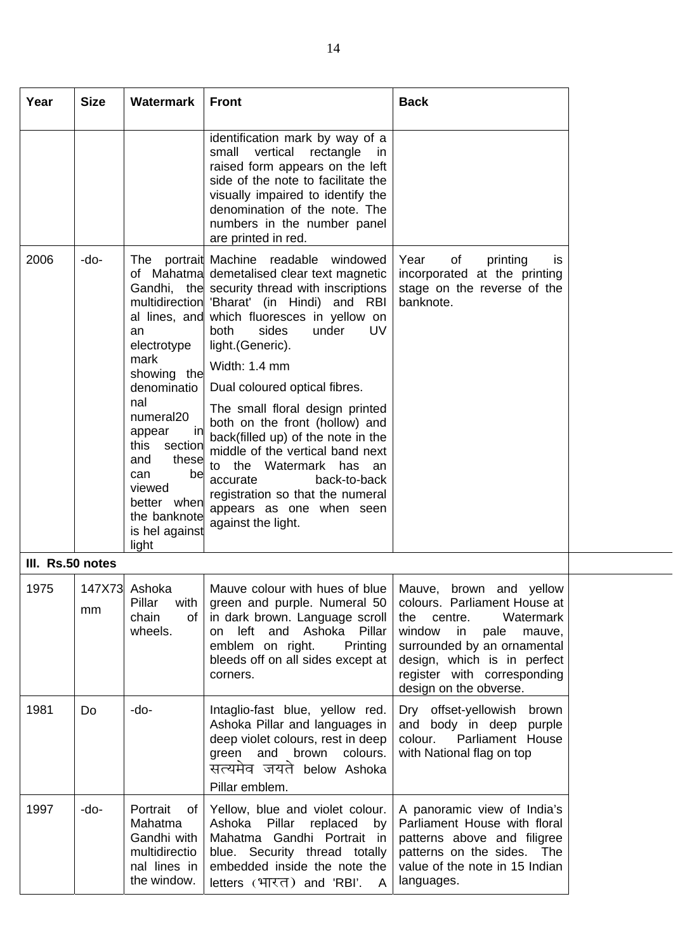| Year             | <b>Size</b> | Watermark                                                                                                                                                                                                       | <b>Front</b>                                                                                                                                                                                                                                                                                                                                                                                                                                                                                                                                                                                                                                    | <b>Back</b>                                                                                                                                                                                                                                     |
|------------------|-------------|-----------------------------------------------------------------------------------------------------------------------------------------------------------------------------------------------------------------|-------------------------------------------------------------------------------------------------------------------------------------------------------------------------------------------------------------------------------------------------------------------------------------------------------------------------------------------------------------------------------------------------------------------------------------------------------------------------------------------------------------------------------------------------------------------------------------------------------------------------------------------------|-------------------------------------------------------------------------------------------------------------------------------------------------------------------------------------------------------------------------------------------------|
|                  |             |                                                                                                                                                                                                                 | identification mark by way of a<br>vertical<br>small<br>rectangle<br>in.<br>raised form appears on the left<br>side of the note to facilitate the<br>visually impaired to identify the<br>denomination of the note. The<br>numbers in the number panel<br>are printed in red.                                                                                                                                                                                                                                                                                                                                                                   |                                                                                                                                                                                                                                                 |
| 2006             | -do-        | an<br>electrotype<br>mark<br>showing the<br>denominatio<br>nal<br>numeral20<br>in<br>appear<br>this<br>section<br>these<br>and<br>be<br>can<br>viewed<br>better when<br>the banknote<br>is hel against<br>light | The portrait Machine readable<br>windowed<br>of Mahatma demetalised clear text magnetic<br>Gandhi, the security thread with inscriptions<br>multidirection 'Bharat' (in Hindi) and RBI<br>al lines, and which fluoresces in yellow on<br>both<br>sides<br>under<br><b>UV</b><br>light. (Generic).<br>Width: 1.4 mm<br>Dual coloured optical fibres.<br>The small floral design printed<br>both on the front (hollow) and<br>back(filled up) of the note in the<br>middle of the vertical band next<br>to the Watermark has an<br>back-to-back<br>accurate<br>registration so that the numeral<br>appears as one when seen<br>against the light. | Year<br>of<br>printing<br>is<br>incorporated at the printing<br>stage on the reverse of the<br>banknote.                                                                                                                                        |
| III. Rs.50 notes |             |                                                                                                                                                                                                                 |                                                                                                                                                                                                                                                                                                                                                                                                                                                                                                                                                                                                                                                 |                                                                                                                                                                                                                                                 |
| 1975             | mm          | 147X73 Ashoka<br>Pillar<br>with<br>chain<br>οf<br>wheels.                                                                                                                                                       | Mauve colour with hues of blue<br>green and purple. Numeral 50<br>in dark brown. Language scroll<br>left<br>and<br>Ashoka Pillar<br>on<br>emblem on right.<br>Printing<br>bleeds off on all sides except at<br>corners.                                                                                                                                                                                                                                                                                                                                                                                                                         | Mauve, brown and yellow<br>colours. Parliament House at<br>Watermark<br>the<br>centre.<br>window<br>in<br>pale<br>mauve,<br>surrounded by an ornamental<br>design, which is in perfect<br>register with corresponding<br>design on the obverse. |
| 1981             | Do          | -do-                                                                                                                                                                                                            | Intaglio-fast blue, yellow red.<br>Ashoka Pillar and languages in<br>deep violet colours, rest in deep<br>green<br>and<br>brown<br>colours.<br>सत्यमेव जयते below Ashoka<br>Pillar emblem.                                                                                                                                                                                                                                                                                                                                                                                                                                                      | Dry offset-yellowish<br>brown<br>and body in deep<br>purple<br>Parliament House<br>colour.<br>with National flag on top                                                                                                                         |
| 1997             | -do-        | Portrait<br>of<br>Mahatma<br>Gandhi with<br>multidirectio<br>nal lines in<br>the window.                                                                                                                        | Yellow, blue and violet colour.<br>Ashoka Pillar<br>replaced<br>by<br>Mahatma Gandhi Portrait in<br>blue. Security thread totally<br>embedded inside the note the<br>letters (भारत) and 'RBI'.<br>A                                                                                                                                                                                                                                                                                                                                                                                                                                             | A panoramic view of India's<br>Parliament House with floral<br>patterns above and filigree<br>patterns on the sides. The<br>value of the note in 15 Indian<br>languages.                                                                        |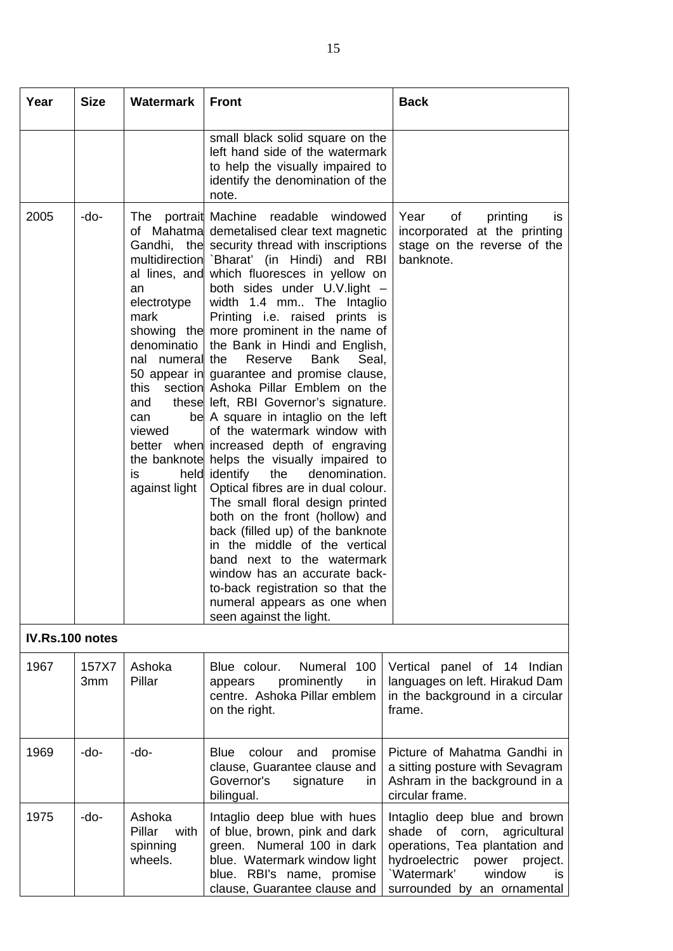| Year            | <b>Size</b>  | Watermark                                                                                                           | <b>Front</b>                                                                                                                                                                                                                                                                                                                                                                                                                                                                                                                                                                                                                                                                                                                                                                                                                                                                                                                                                                                                                                                                                                                             | <b>Back</b>                                                                                                                                                                                          |
|-----------------|--------------|---------------------------------------------------------------------------------------------------------------------|------------------------------------------------------------------------------------------------------------------------------------------------------------------------------------------------------------------------------------------------------------------------------------------------------------------------------------------------------------------------------------------------------------------------------------------------------------------------------------------------------------------------------------------------------------------------------------------------------------------------------------------------------------------------------------------------------------------------------------------------------------------------------------------------------------------------------------------------------------------------------------------------------------------------------------------------------------------------------------------------------------------------------------------------------------------------------------------------------------------------------------------|------------------------------------------------------------------------------------------------------------------------------------------------------------------------------------------------------|
|                 |              |                                                                                                                     | small black solid square on the<br>left hand side of the watermark<br>to help the visually impaired to<br>identify the denomination of the<br>note.                                                                                                                                                                                                                                                                                                                                                                                                                                                                                                                                                                                                                                                                                                                                                                                                                                                                                                                                                                                      |                                                                                                                                                                                                      |
| 2005            | -do-         | an<br>electrotype<br>mark<br>denominatio<br>nal numeral the<br>this<br>and<br>can<br>viewed<br>is.<br>against light | The portrait Machine readable windowed<br>of Mahatma demetalised clear text magnetic<br>Gandhi, the security thread with inscriptions<br>multidirection 'Bharat' (in Hindi) and RBI<br>al lines, and which fluoresces in yellow on<br>both sides under U.V.light -<br>width 1.4 mm The Intaglio<br>Printing i.e. raised prints is<br>showing the more prominent in the name of<br>the Bank in Hindi and English,<br>Reserve<br><b>Bank</b><br>Seal,<br>50 appear in guarantee and promise clause,<br>section Ashoka Pillar Emblem on the<br>these left, RBI Governor's signature.<br>be A square in intaglio on the left<br>of the watermark window with<br>better when increased depth of engraving<br>the banknote helps the visually impaired to<br>held identify<br>the<br>denomination.<br>Optical fibres are in dual colour.<br>The small floral design printed<br>both on the front (hollow) and<br>back (filled up) of the banknote<br>in the middle of the vertical<br>band next to the watermark<br>window has an accurate back-<br>to-back registration so that the<br>numeral appears as one when<br>seen against the light. | Year<br>of<br>printing<br>is.<br>incorporated at the printing<br>stage on the reverse of the<br>banknote.                                                                                            |
| IV.Rs.100 notes |              |                                                                                                                     |                                                                                                                                                                                                                                                                                                                                                                                                                                                                                                                                                                                                                                                                                                                                                                                                                                                                                                                                                                                                                                                                                                                                          |                                                                                                                                                                                                      |
| 1967            | 157X7<br>3mm | Ashoka<br>Pillar                                                                                                    | Numeral<br>Blue colour.<br>100<br>prominently<br>in<br>appears<br>centre. Ashoka Pillar emblem<br>on the right.                                                                                                                                                                                                                                                                                                                                                                                                                                                                                                                                                                                                                                                                                                                                                                                                                                                                                                                                                                                                                          | Vertical panel of 14 Indian<br>languages on left. Hirakud Dam<br>in the background in a circular<br>frame.                                                                                           |
| 1969            | -do-         | -do-                                                                                                                | colour<br>Blue<br>and promise<br>clause, Guarantee clause and<br>Governor's<br>signature<br>in<br>bilingual.                                                                                                                                                                                                                                                                                                                                                                                                                                                                                                                                                                                                                                                                                                                                                                                                                                                                                                                                                                                                                             | Picture of Mahatma Gandhi in<br>a sitting posture with Sevagram<br>Ashram in the background in a<br>circular frame.                                                                                  |
| 1975            | -do-         | Ashoka<br>Pillar<br>with<br>spinning<br>wheels.                                                                     | Intaglio deep blue with hues<br>of blue, brown, pink and dark<br>green. Numeral 100 in dark<br>blue. Watermark window light<br>blue. RBI's name, promise<br>clause, Guarantee clause and                                                                                                                                                                                                                                                                                                                                                                                                                                                                                                                                                                                                                                                                                                                                                                                                                                                                                                                                                 | Intaglio deep blue and brown<br>shade<br>of corn,<br>agricultural<br>operations, Tea plantation and<br>hydroelectric<br>power project.<br>Watermark'<br>window<br>is.<br>surrounded by an ornamental |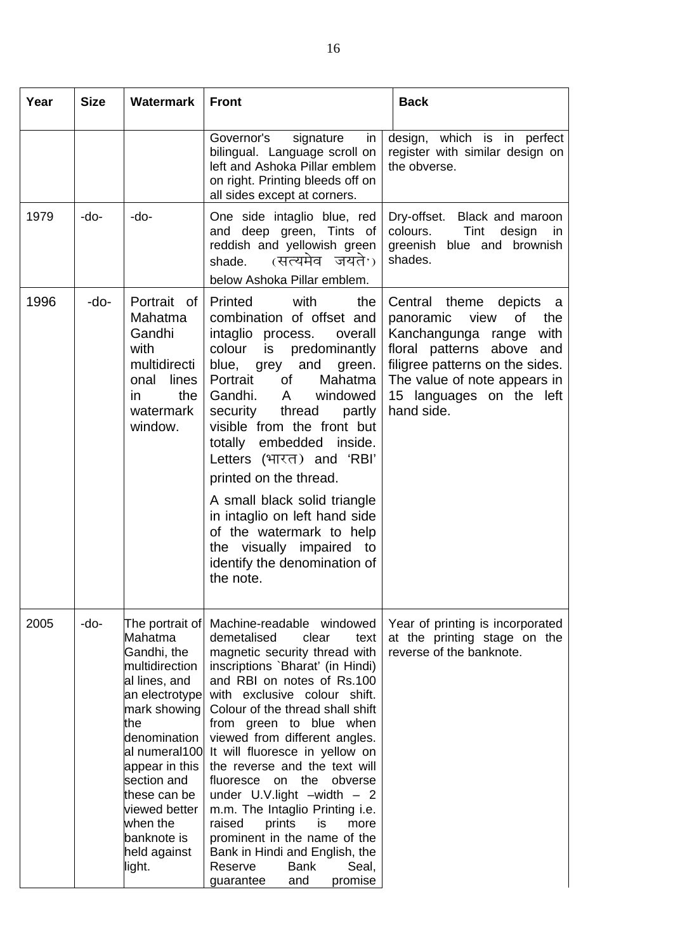| Year | <b>Size</b> | <b>Watermark</b>                                                                                                                                                                                                                                                              | <b>Front</b>                                                                                                                                                                                                                                                                                                                                                                                                                                                                                                                                                                                                                               | <b>Back</b>                                                                                                                                                                                                                                |
|------|-------------|-------------------------------------------------------------------------------------------------------------------------------------------------------------------------------------------------------------------------------------------------------------------------------|--------------------------------------------------------------------------------------------------------------------------------------------------------------------------------------------------------------------------------------------------------------------------------------------------------------------------------------------------------------------------------------------------------------------------------------------------------------------------------------------------------------------------------------------------------------------------------------------------------------------------------------------|--------------------------------------------------------------------------------------------------------------------------------------------------------------------------------------------------------------------------------------------|
|      |             |                                                                                                                                                                                                                                                                               | Governor's<br>signature<br>in<br>bilingual. Language scroll on<br>left and Ashoka Pillar emblem<br>on right. Printing bleeds off on<br>all sides except at corners.                                                                                                                                                                                                                                                                                                                                                                                                                                                                        | design, which is in perfect<br>register with similar design on<br>the obverse.                                                                                                                                                             |
| 1979 | -do-        | -do-                                                                                                                                                                                                                                                                          | One side intaglio blue, red<br>and deep green, Tints of<br>reddish and yellowish green<br>(सत्यमेव जयते <sup>,</sup> )<br>shade.<br>below Ashoka Pillar emblem.                                                                                                                                                                                                                                                                                                                                                                                                                                                                            | Dry-offset.<br>Black and maroon<br>colours.<br>Tint<br>design<br>in<br>greenish blue and brownish<br>shades.                                                                                                                               |
| 1996 | -do-        | Portrait of<br>Mahatma<br>Gandhi<br>with<br>multidirecti<br>onal<br>lines<br>in<br>the<br>watermark<br>window.                                                                                                                                                                | Printed<br>with<br>the<br>combination of offset and<br>intaglio process.<br>overall<br>colour<br>predominantly<br>is<br>blue,<br>and<br>green.<br>grey<br>Portrait<br>0f<br>Mahatma<br>Gandhi.<br>$\mathsf{A}$<br>windowed<br>security<br>thread<br>partly<br>visible from the front but<br>embedded inside.<br>totally<br>Letters (भारत) and 'RBI'<br>printed on the thread.<br>A small black solid triangle<br>in intaglio on left hand side<br>of the watermark to help<br>the visually impaired to<br>identify the denomination of<br>the note.                                                                                        | Central theme<br>depicts<br>a<br>view<br>οf<br>the<br>panoramic<br>Kanchangunga range<br>with<br>floral patterns above<br>and<br>filigree patterns on the sides.<br>The value of note appears in<br>15 languages on the left<br>hand side. |
| 2005 | -do-        | The portrait of<br>Mahatma<br>Gandhi, the<br>multidirection<br>al lines, and<br>an electrotype<br>mark showing<br>the<br>denomination<br>al numeral100<br>appear in this<br>section and<br>these can be<br>viewed better<br>when the<br>banknote is<br>held against<br>light. | Machine-readable windowed<br>demetalised<br>clear<br>text<br>magnetic security thread with<br>inscriptions `Bharat' (in Hindi)<br>and RBI on notes of Rs.100<br>with exclusive colour shift.<br>Colour of the thread shall shift<br>from green to blue when<br>viewed from different angles.<br>It will fluoresce in yellow on<br>the reverse and the text will<br>fluoresce on the<br>obverse<br>under $U.V.$ light $-width - 2$<br>m.m. The Intaglio Printing i.e.<br>prints<br>is<br>raised<br>more<br>prominent in the name of the<br>Bank in Hindi and English, the<br>Reserve<br><b>Bank</b><br>Seal,<br>promise<br>guarantee<br>and | Year of printing is incorporated<br>at the printing stage on the<br>reverse of the banknote.                                                                                                                                               |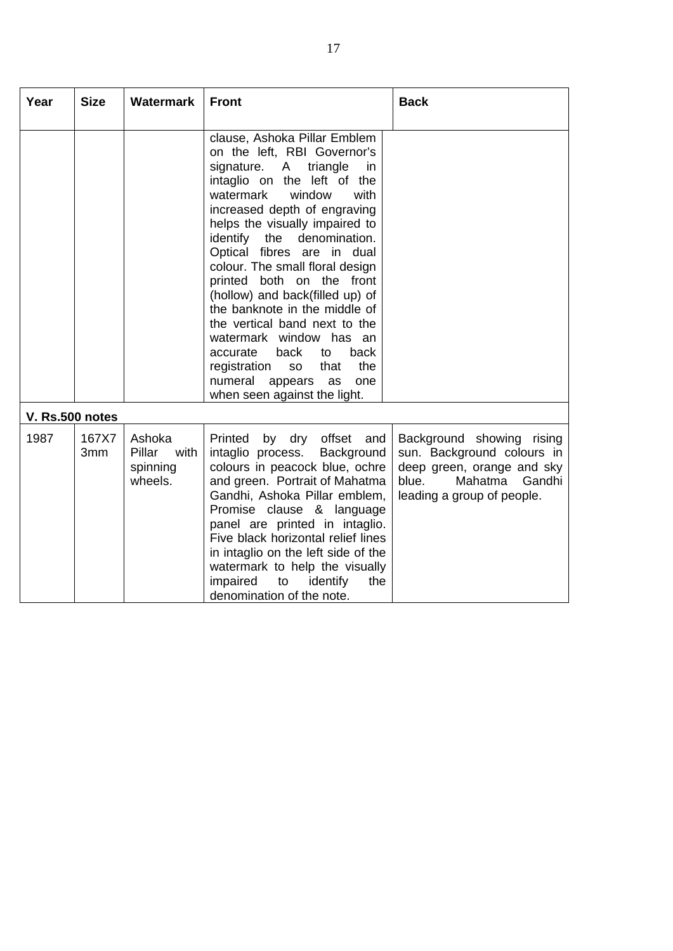| Year            | <b>Size</b>  | <b>Watermark</b>                                | <b>Front</b>                                                                                                                                                                                                                                                                                                                                                                                                                                                                                                                                                                                                                        | <b>Back</b>                                                                                                                                       |
|-----------------|--------------|-------------------------------------------------|-------------------------------------------------------------------------------------------------------------------------------------------------------------------------------------------------------------------------------------------------------------------------------------------------------------------------------------------------------------------------------------------------------------------------------------------------------------------------------------------------------------------------------------------------------------------------------------------------------------------------------------|---------------------------------------------------------------------------------------------------------------------------------------------------|
|                 |              |                                                 | clause, Ashoka Pillar Emblem<br>on the left, RBI Governor's<br>triangle<br>signature.<br>A<br>in<br>intaglio on the left of the<br>watermark<br>window<br>with<br>increased depth of engraving<br>helps the visually impaired to<br>identify the denomination.<br>Optical fibres are in dual<br>colour. The small floral design<br>printed both on the front<br>(hollow) and back(filled up) of<br>the banknote in the middle of<br>the vertical band next to the<br>watermark window has an<br>back<br>back<br>accurate<br>to<br>the<br>registration<br>that<br>SO<br>numeral<br>appears as<br>one<br>when seen against the light. |                                                                                                                                                   |
| V. Rs.500 notes |              |                                                 |                                                                                                                                                                                                                                                                                                                                                                                                                                                                                                                                                                                                                                     |                                                                                                                                                   |
| 1987            | 167X7<br>3mm | Ashoka<br>Pillar<br>with<br>spinning<br>wheels. | Printed by dry offset and<br>intaglio process.<br>Background<br>colours in peacock blue, ochre<br>and green. Portrait of Mahatma<br>Gandhi, Ashoka Pillar emblem,<br>Promise clause & language<br>panel are printed in intaglio.<br>Five black horizontal relief lines<br>in intaglio on the left side of the<br>watermark to help the visually<br>impaired<br>identify<br>the<br>to<br>denomination of the note.                                                                                                                                                                                                                   | Background showing rising<br>sun. Background colours in<br>deep green, orange and sky<br>blue.<br>Mahatma<br>Gandhi<br>leading a group of people. |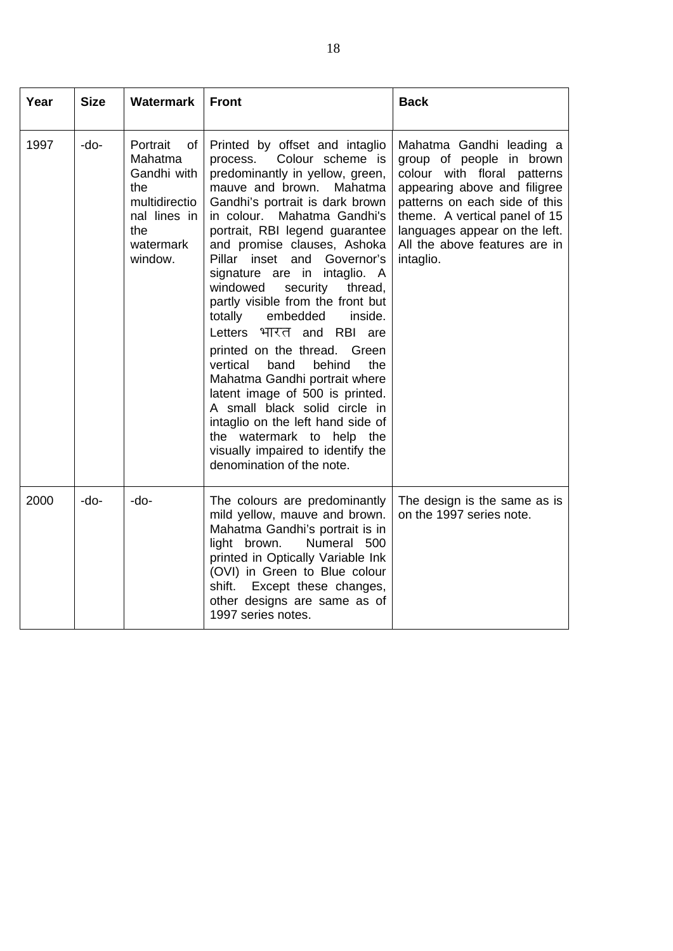| Year | <b>Size</b> | <b>Watermark</b>                                                                                                | <b>Front</b>                                                                                                                                                                                                                                                                                                                                                                                                                                                                                                                                                                                                                                                                                                                                                                                    | <b>Back</b>                                                                                                                                                                                                                                                          |
|------|-------------|-----------------------------------------------------------------------------------------------------------------|-------------------------------------------------------------------------------------------------------------------------------------------------------------------------------------------------------------------------------------------------------------------------------------------------------------------------------------------------------------------------------------------------------------------------------------------------------------------------------------------------------------------------------------------------------------------------------------------------------------------------------------------------------------------------------------------------------------------------------------------------------------------------------------------------|----------------------------------------------------------------------------------------------------------------------------------------------------------------------------------------------------------------------------------------------------------------------|
| 1997 | $-do-$      | Portrait<br>of<br>Mahatma<br>Gandhi with<br>the<br>multidirectio<br>nal lines in<br>the<br>watermark<br>window. | Printed by offset and intaglio<br>Colour scheme is<br>process.<br>predominantly in yellow, green,<br>mauve and brown.<br>Mahatma<br>Gandhi's portrait is dark brown<br>in colour.<br>Mahatma Gandhi's<br>portrait, RBI legend guarantee<br>and promise clauses, Ashoka<br>Pillar inset and Governor's<br>signature are in intaglio. A<br>windowed<br>security<br>thread,<br>partly visible from the front but<br>embedded<br>totally<br>inside.<br>भारत and RBI are<br>Letters<br>printed on the thread. Green<br>vertical<br>band<br>behind<br>the<br>Mahatma Gandhi portrait where<br>latent image of 500 is printed.<br>A small black solid circle in<br>intaglio on the left hand side of<br>the watermark to help<br>the<br>visually impaired to identify the<br>denomination of the note. | Mahatma Gandhi leading a<br>group of people in brown<br>colour with floral patterns<br>appearing above and filigree<br>patterns on each side of this<br>theme. A vertical panel of 15<br>languages appear on the left.<br>All the above features are in<br>intaglio. |
| 2000 | $-do-$      | -do-                                                                                                            | The colours are predominantly<br>mild yellow, mauve and brown.<br>Mahatma Gandhi's portrait is in<br>Numeral 500<br>light brown.<br>printed in Optically Variable Ink<br>(OVI) in Green to Blue colour<br>shift.<br>Except these changes,<br>other designs are same as of<br>1997 series notes.                                                                                                                                                                                                                                                                                                                                                                                                                                                                                                 | The design is the same as is<br>on the 1997 series note.                                                                                                                                                                                                             |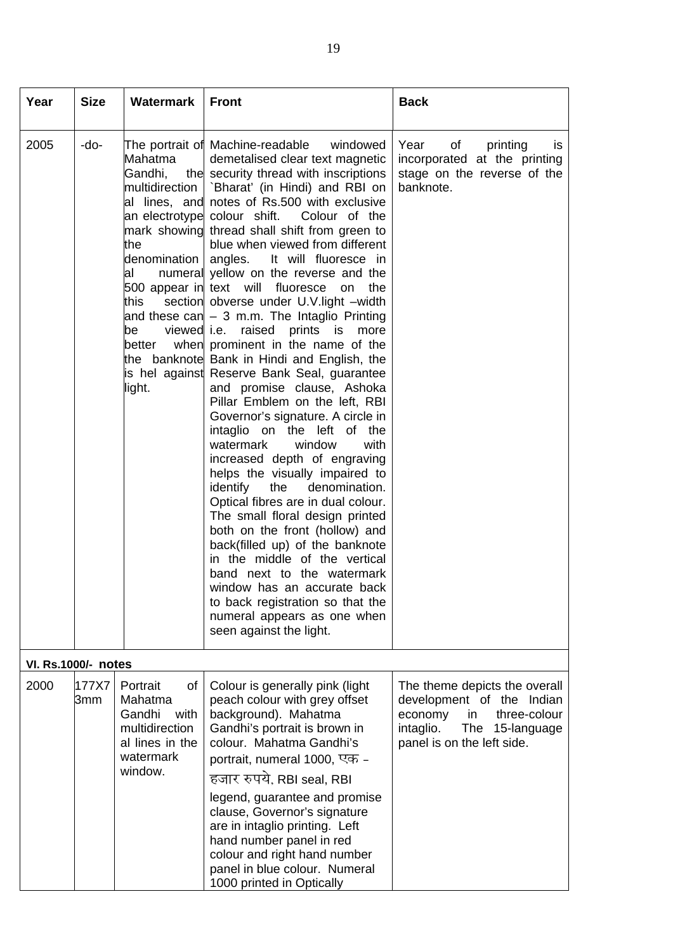| Year                       | <b>Size</b>  | Watermark                                                                                                                 | <b>Front</b>                                                                                                                                                                                                                                                                                                                                                                                                                                                                                                                                                                                                                                                                                                                                                                                                                                                                                                                                                                                                                                                                                                                                                                                                                                                                                                                                                  | <b>Back</b>                                                                                                                                               |
|----------------------------|--------------|---------------------------------------------------------------------------------------------------------------------------|---------------------------------------------------------------------------------------------------------------------------------------------------------------------------------------------------------------------------------------------------------------------------------------------------------------------------------------------------------------------------------------------------------------------------------------------------------------------------------------------------------------------------------------------------------------------------------------------------------------------------------------------------------------------------------------------------------------------------------------------------------------------------------------------------------------------------------------------------------------------------------------------------------------------------------------------------------------------------------------------------------------------------------------------------------------------------------------------------------------------------------------------------------------------------------------------------------------------------------------------------------------------------------------------------------------------------------------------------------------|-----------------------------------------------------------------------------------------------------------------------------------------------------------|
| 2005                       | -do-         | Mahatma<br>Gandhi,<br>multidirection<br>the<br>denomination<br>al<br>this<br>viewed <i>i.e.</i><br>be<br>better<br>light. | The portrait of Machine-readable<br>windowed<br>demetalised clear text magnetic<br>the security thread with inscriptions<br>`Bharat' (in Hindi) and RBI on<br>al lines, and notes of Rs.500 with exclusive<br>an electrotype colour shift.<br>Colour of the<br>mark showing thread shall shift from green to<br>blue when viewed from different<br>angles. It will fluoresce in<br>numeral yellow on the reverse and the<br>500 appear in text will fluoresce<br>the<br>on<br>section obverse under U.V. light -width<br>and these can - 3 m.m. The Intaglio Printing<br>raised<br>prints<br>is<br>more<br>when prominent in the name of the<br>the banknote Bank in Hindi and English, the<br>is hel against Reserve Bank Seal, quarantee<br>and promise clause, Ashoka<br>Pillar Emblem on the left, RBI<br>Governor's signature. A circle in<br>intaglio on the left of the<br>watermark<br>window<br>with<br>increased depth of engraving<br>helps the visually impaired to<br>identify<br>the<br>denomination.<br>Optical fibres are in dual colour.<br>The small floral design printed<br>both on the front (hollow) and<br>back(filled up) of the banknote<br>in the middle of the vertical<br>band next to the watermark<br>window has an accurate back<br>to back registration so that the<br>numeral appears as one when<br>seen against the light. | Year<br>of<br>printing<br>is.<br>incorporated at the printing<br>stage on the reverse of the<br>banknote.                                                 |
| <b>VI. Rs.1000/- notes</b> |              |                                                                                                                           |                                                                                                                                                                                                                                                                                                                                                                                                                                                                                                                                                                                                                                                                                                                                                                                                                                                                                                                                                                                                                                                                                                                                                                                                                                                                                                                                                               |                                                                                                                                                           |
| 2000                       | 177X7<br>3mm | of<br>Portrait<br>Mahatma<br>Gandhi<br>with<br>multidirection<br>al lines in the<br>watermark<br>window.                  | Colour is generally pink (light<br>peach colour with grey offset<br>background). Mahatma<br>Gandhi's portrait is brown in<br>colour. Mahatma Gandhi's<br>portrait, numeral 1000, एक -<br>हजार रुपये, RBI seal, RBI<br>legend, guarantee and promise<br>clause, Governor's signature<br>are in intaglio printing. Left<br>hand number panel in red<br>colour and right hand number<br>panel in blue colour. Numeral<br>1000 printed in Optically                                                                                                                                                                                                                                                                                                                                                                                                                                                                                                                                                                                                                                                                                                                                                                                                                                                                                                               | The theme depicts the overall<br>development of the Indian<br>three-colour<br>economy<br>in<br>intaglio.<br>The 15-language<br>panel is on the left side. |